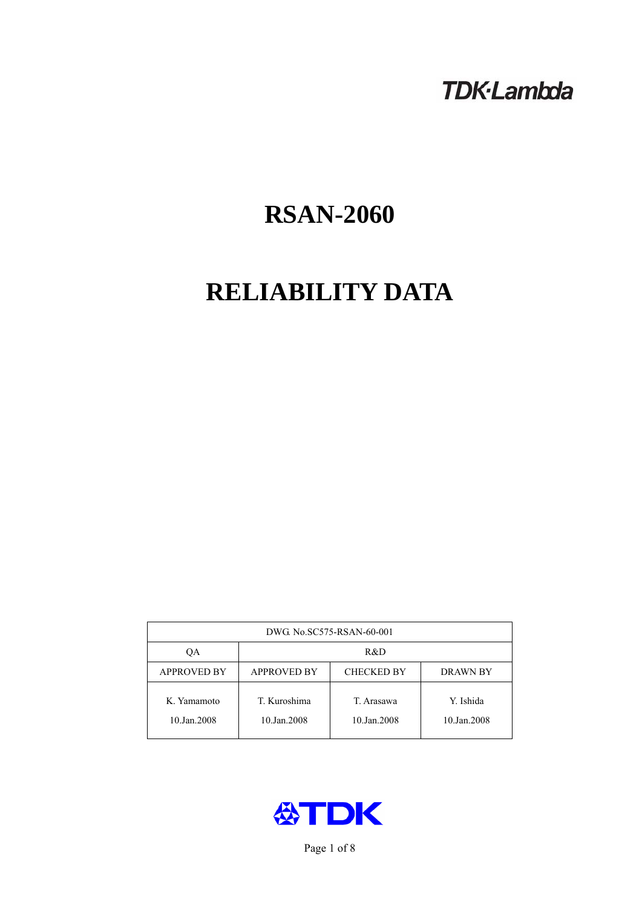# **TDK-Lambda**

# **RSAN-2060**

# **RELIABILITY DATA**

| DWG No.SC575-RSAN-60-001   |                                                            |                           |                          |  |  |
|----------------------------|------------------------------------------------------------|---------------------------|--------------------------|--|--|
| ОA                         | R&D                                                        |                           |                          |  |  |
| <b>APPROVED BY</b>         | <b>APPROVED BY</b><br><b>CHECKED BY</b><br><b>DRAWN BY</b> |                           |                          |  |  |
| K. Yamamoto<br>10.Jan.2008 | T. Kuroshima<br>10.Jan.2008                                | T. Arasawa<br>10.Jan.2008 | Y. Ishida<br>10.Jan.2008 |  |  |



Page 1 of 8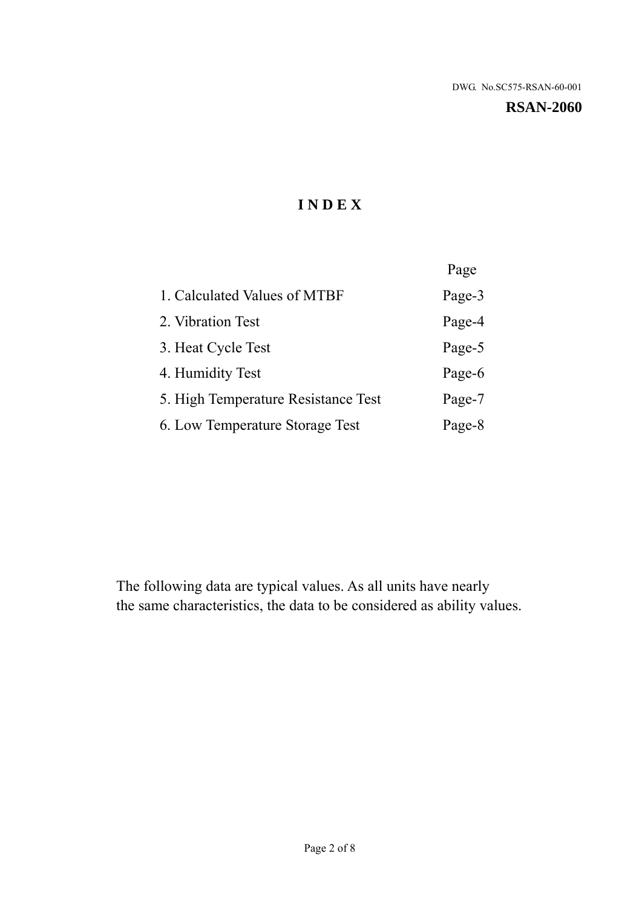**RSAN-2060** 

# **I N D E X**

|                                     | Page   |
|-------------------------------------|--------|
| 1. Calculated Values of MTBF        | Page-3 |
| 2. Vibration Test                   | Page-4 |
| 3. Heat Cycle Test                  | Page-5 |
| 4. Humidity Test                    | Page-6 |
| 5. High Temperature Resistance Test | Page-7 |
| 6. Low Temperature Storage Test     | Page-8 |

The following data are typical values. As all units have nearly the same characteristics, the data to be considered as ability values.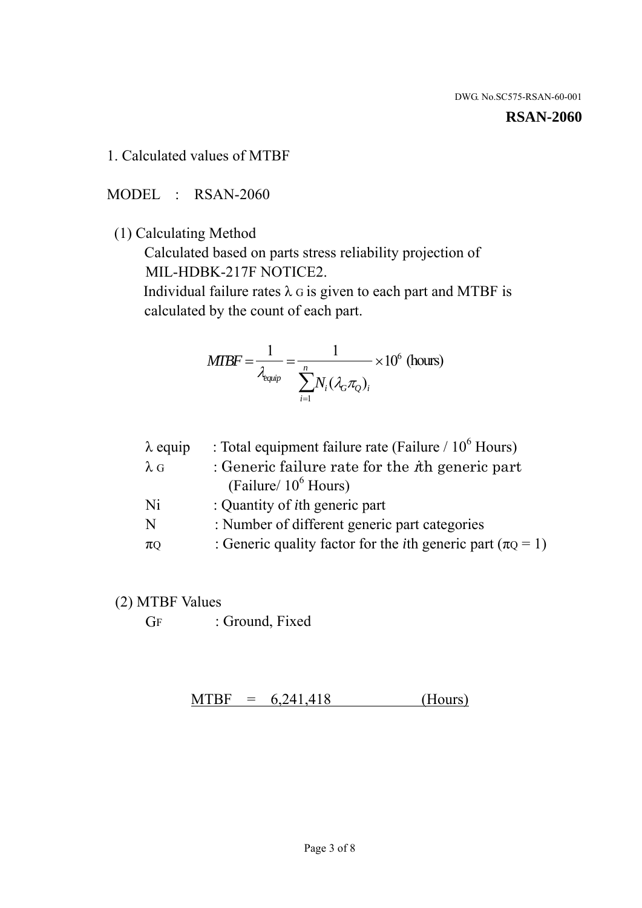### **RSAN-2060**

1. Calculated values of MTBF

MODEL : RSAN-2060

(1) Calculating Method

 Calculated based on parts stress reliability projection of MIL-HDBK-217F NOTICE2.

Individual failure rates  $\lambda$  G is given to each part and MTBF is calculated by the count of each part.

$$
MTBF = \frac{1}{\lambda_{\text{equip}}} = \frac{1}{\sum_{i=1}^{n} N_i (\lambda_G \pi_Q)_i} \times 10^6 \text{ (hours)}
$$

| $\lambda$ equip | : Total equipment failure rate (Failure / $10^6$ Hours)                   |
|-----------------|---------------------------------------------------------------------------|
| $\lambda$ G     | : Generic failure rate for the $\hbar$ generic part                       |
|                 | (Failure/ $10^6$ Hours)                                                   |
| Ni              | : Quantity of <i>i</i> th generic part                                    |
| N               | : Number of different generic part categories                             |
| $\pi Q$         | : Generic quality factor for the <i>i</i> th generic part ( $\pi Q = 1$ ) |
|                 |                                                                           |

- (2) MTBF Values
	- GF : Ground, Fixed

 $MTBF = 6,241,418$  (Hours)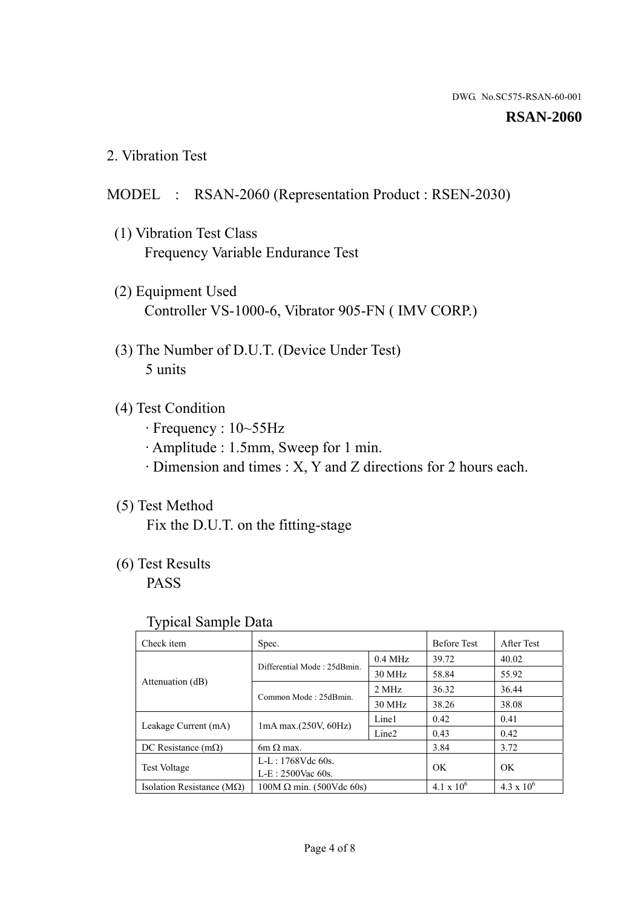### **RSAN-2060**

2. Vibration Test

## MODEL : RSAN-2060 (Representation Product : RSEN-2030)

- (1) Vibration Test Class Frequency Variable Endurance Test
- (2) Equipment Used Controller VS-1000-6, Vibrator 905-FN ( IMV CORP.)
- (3) The Number of D.U.T. (Device Under Test) 5 units
- (4) Test Condition
	- · Frequency : 10~55Hz
	- · Amplitude : 1.5mm, Sweep for 1 min.
	- · Dimension and times : X, Y and Z directions for 2 hours each.

# (5) Test Method

Fix the D.U.T. on the fitting-stage

# (6) Test Results

PASS

### Typical Sample Data

| . .                           |                                                         |           |                     |                     |
|-------------------------------|---------------------------------------------------------|-----------|---------------------|---------------------|
| Check item                    | Spec.                                                   |           | <b>Before Test</b>  | After Test          |
|                               | Differential Mode: 25dBmin.                             | $0.4$ MHz | 39.72               | 40.02               |
|                               |                                                         | 30 MHz    | 58.84               | 55.92               |
| Attenuation (dB)              | Common Mode: 25dBmin.                                   | 2 MHz     | 36.32               | 36.44               |
|                               |                                                         | 30 MHz    | 38.26               | 38.08               |
| Leakage Current (mA)          | Line1<br>$1mA$ max. $(250V, 60Hz)$<br>Line <sub>2</sub> |           | 0.42                | 0.41                |
|                               |                                                         |           | 0.43                | 0.42                |
| DC Resistance $(m\Omega)$     | $6m \Omega$ max.                                        |           | 3.84                | 3.72                |
| <b>Test Voltage</b>           | $L-L: 1768Vdc$ 60s.                                     |           | OK                  | OK.                 |
|                               | $L-E$ : 2500Vac 60s.                                    |           |                     |                     |
| Isolation Resistance ( $MQ$ ) | $100M \Omega$ min. (500Vdc 60s)                         |           | $4.1 \times 10^{6}$ | $4.3 \times 10^{6}$ |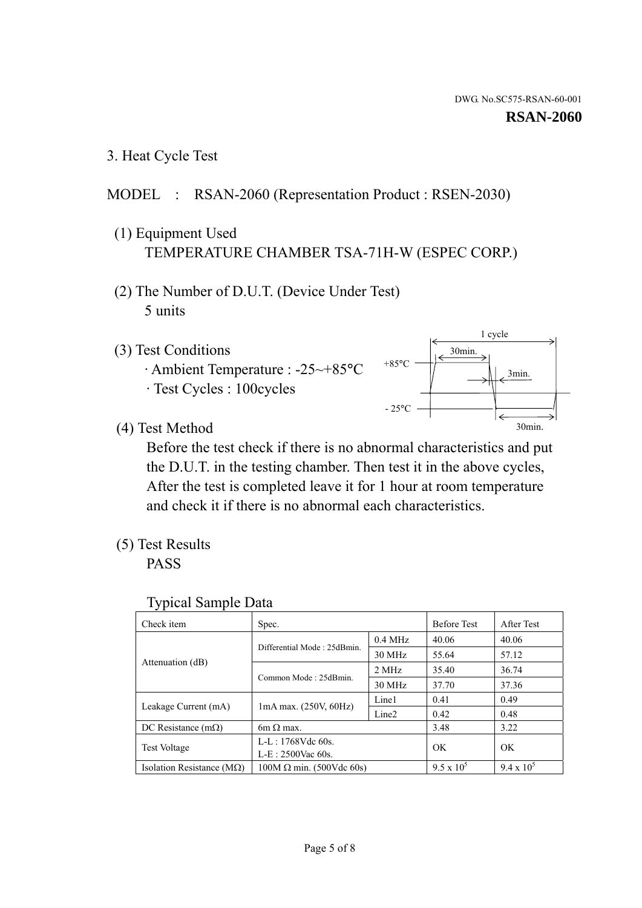1 cycle

30min.

3min.

30min.

3. Heat Cycle Test

# MODEL : RSAN-2060 (Representation Product : RSEN-2030)

- (1) Equipment Used TEMPERATURE CHAMBER TSA-71H-W (ESPEC CORP.)
- (2) The Number of D.U.T. (Device Under Test) 5 units
- (3) Test Conditions
	- · Ambient Temperature : -25~+85°C · Test Cycles : 100cycles
- (4) Test Method

 Before the test check if there is no abnormal characteristics and put the D.U.T. in the testing chamber. Then test it in the above cycles, After the test is completed leave it for 1 hour at room temperature and check it if there is no abnormal each characteristics.

 $+85$ °C

 $-25^{\circ}$ C

(5) Test Results

PASS

| <b>Typical Sample Data</b> |  |  |
|----------------------------|--|--|
|----------------------------|--|--|

| Check item                         | Spec.                           |                   | <b>Before Test</b> | <b>After Test</b> |
|------------------------------------|---------------------------------|-------------------|--------------------|-------------------|
|                                    | Differential Mode: 25dBmin.     | $0.4$ MHz         | 40.06              | 40.06             |
|                                    |                                 | 30 MHz            | 55.64              | 57.12             |
| Attenuation (dB)                   | Common Mode: 25dBmin.           | 2 MHz             | 35.40              | 36.74             |
|                                    |                                 | 30 MHz            | 37.70              | 37.36             |
| Leakage Current (mA)               | $1mA$ max. $(250V, 60Hz)$       | Line1             | 0.41               | 0.49              |
|                                    |                                 | Line <sub>2</sub> | 0.42               | 0.48              |
| DC Resistance $(m\Omega)$          | 6m $\Omega$ max.                |                   | 3.48               | 3.22              |
| Test Voltage                       | $L-L: 1768Vdc$ 60s.             |                   | OK.                | OK.               |
|                                    | $L-E: 2500$ Vac 60s.            |                   |                    |                   |
| Isolation Resistance ( $M\Omega$ ) | $100M \Omega$ min. (500Vdc 60s) |                   | $9.5 \times 10^5$  | $9.4 \times 10^5$ |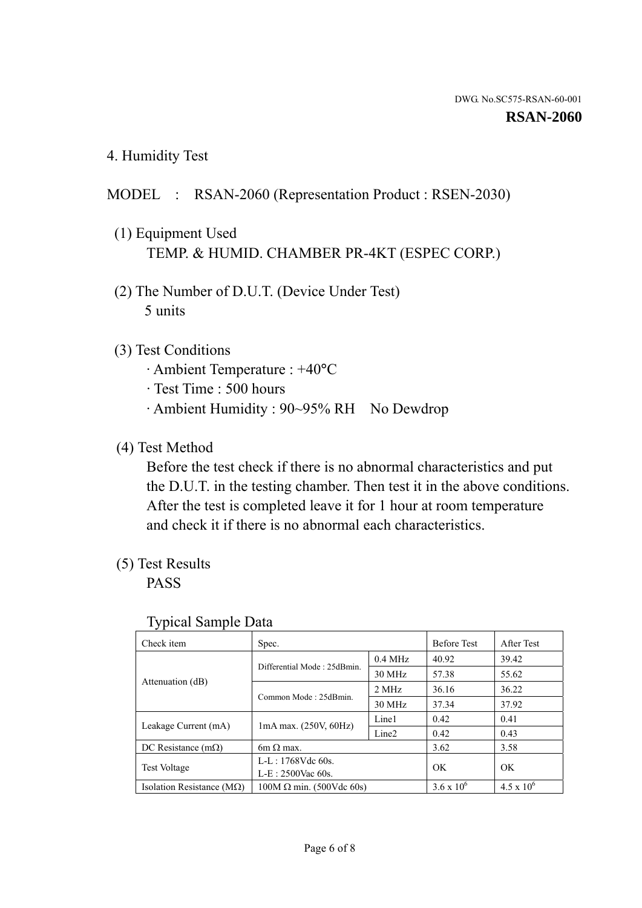4. Humidity Test

# MODEL : RSAN-2060 (Representation Product : RSEN-2030)

- (1) Equipment Used TEMP. & HUMID. CHAMBER PR-4KT (ESPEC CORP.)
- (2) The Number of D.U.T. (Device Under Test) 5 units

# (3) Test Conditions

- · Ambient Temperature : +40°C
- · Test Time : 500 hours
- · Ambient Humidity : 90~95% RH No Dewdrop

# (4) Test Method

 Before the test check if there is no abnormal characteristics and put the D.U.T. in the testing chamber. Then test it in the above conditions. After the test is completed leave it for 1 hour at room temperature and check it if there is no abnormal each characteristics.

# (5) Test Results

PASS

| . .                                |                                 |                   |                     |                     |
|------------------------------------|---------------------------------|-------------------|---------------------|---------------------|
| Check item                         | Spec.                           |                   | <b>Before Test</b>  | After Test          |
|                                    | Differential Mode: 25dBmin.     | $0.4$ MHz         | 40.92               | 39.42               |
|                                    |                                 | 30 MHz            | 57.38               | 55.62               |
| Attenuation (dB)                   | Common Mode: 25dBmin.           | 2 MHz             | 36.16               | 36.22               |
|                                    |                                 | 30 MHz            | 37.34               | 37.92               |
| Leakage Current (mA)               | $1mA$ max. $(250V, 60Hz)$       | Line1             | 0.42                | 0.41                |
|                                    |                                 | Line <sub>2</sub> | 0.42                | 0.43                |
| DC Resistance $(m\Omega)$          | 6m $\Omega$ max.                |                   | 3.62                | 3.58                |
| <b>Test Voltage</b>                | $L-L: 1768Vdc$ 60s.             |                   | OK                  | OK                  |
|                                    | $L-E: 2500$ Vac 60s.            |                   |                     |                     |
| Isolation Resistance ( $M\Omega$ ) | $100M \Omega$ min. (500Vdc 60s) |                   | $3.6 \times 10^{6}$ | $4.5 \times 10^{6}$ |

### Typical Sample Data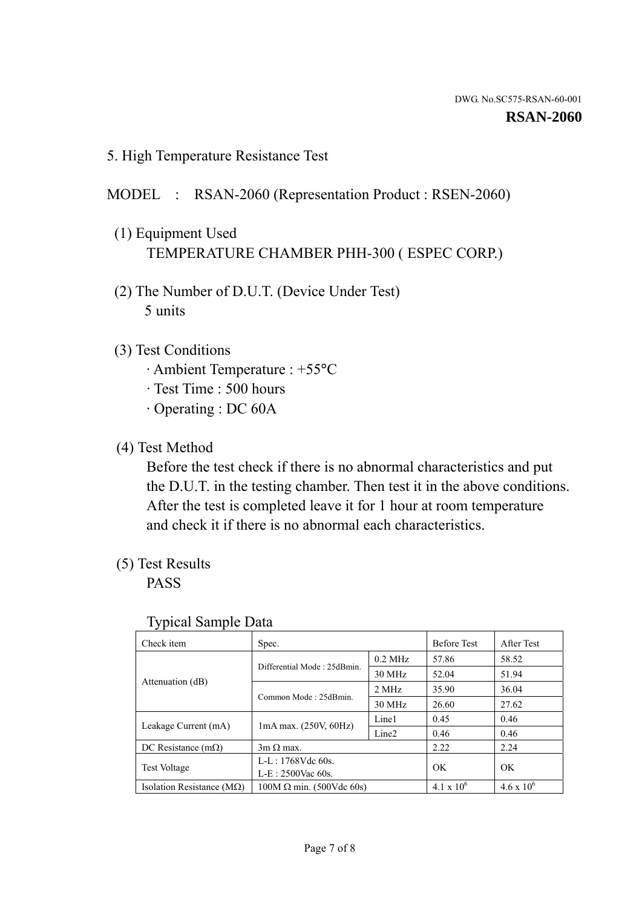5. High Temperature Resistance Test

## MODEL : RSAN-2060 (Representation Product : RSEN-2060)

- (1) Equipment Used TEMPERATURE CHAMBER PHH-300 ( ESPEC CORP.)
- (2) The Number of D.U.T. (Device Under Test) 5 units
- (3) Test Conditions
	- · Ambient Temperature : +55°C
	- · Test Time : 500 hours
	- · Operating : DC 60A
- (4) Test Method

 Before the test check if there is no abnormal characteristics and put the D.U.T. in the testing chamber. Then test it in the above conditions. After the test is completed leave it for 1 hour at room temperature and check it if there is no abnormal each characteristics.

(5) Test Results

PASS

| ╯┸                                 |                                                         |           |                     |                     |
|------------------------------------|---------------------------------------------------------|-----------|---------------------|---------------------|
| Check item                         | Spec.                                                   |           | <b>Before Test</b>  | After Test          |
|                                    | Differential Mode: 25dBmin.                             | $0.2$ MHz | 57.86               | 58.52               |
|                                    |                                                         | 30 MHz    | 52.04               | 51.94               |
| Attenuation (dB)                   | Common Mode: 25dBmin.                                   | 2 MHz     | 35.90               | 36.04               |
|                                    |                                                         | 30 MHz    | 26.60               | 27.62               |
| Leakage Current (mA)               | Line1<br>$1mA$ max. $(250V, 60Hz)$<br>Line <sub>2</sub> |           | 0.45                | 0.46                |
|                                    |                                                         |           | 0.46                | 0.46                |
| DC Resistance $(m\Omega)$          | $3m \Omega$ max.                                        |           | 2.22                | 2.24                |
| <b>Test Voltage</b>                | $L-L: 1768Vdc$ 60s.                                     |           | OK                  | OK                  |
|                                    | $L-E: 2500$ Vac 60s.                                    |           |                     |                     |
| Isolation Resistance ( $M\Omega$ ) | $100M \Omega$ min. (500Vdc 60s)                         |           | $4.1 \times 10^{6}$ | $4.6 \times 10^{6}$ |

### Typical Sample Data